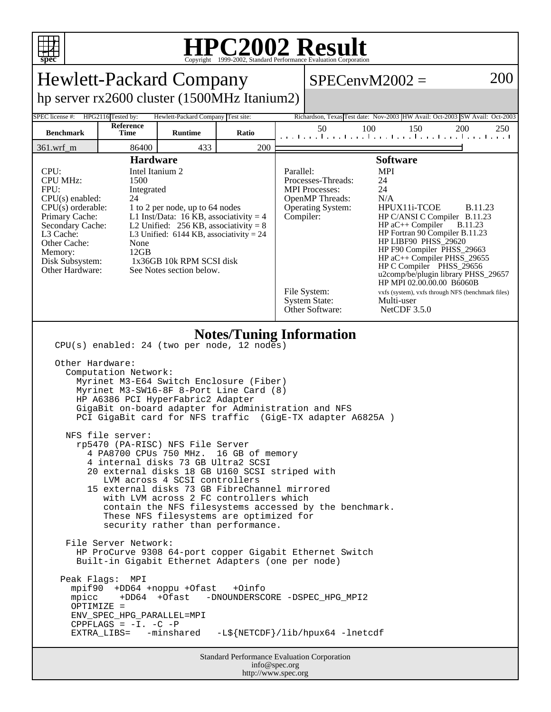

## **HPC2002 Result**

| <b>Hewlett-Packard Company</b>                                                                                                                                                                                                                                                                                                                                                                                                                                                                                                                                                                                                                                                                                                                                                                                                                                                                                                                                                                                                                                                                                                                                                                                                             |                    |                                    |       |  |                                                                                                                                                                                                                                                                                                                                                                                                                                                                                                                                                                                                                                                                  | $SPECenvM2002 =$                                                            | 200        |
|--------------------------------------------------------------------------------------------------------------------------------------------------------------------------------------------------------------------------------------------------------------------------------------------------------------------------------------------------------------------------------------------------------------------------------------------------------------------------------------------------------------------------------------------------------------------------------------------------------------------------------------------------------------------------------------------------------------------------------------------------------------------------------------------------------------------------------------------------------------------------------------------------------------------------------------------------------------------------------------------------------------------------------------------------------------------------------------------------------------------------------------------------------------------------------------------------------------------------------------------|--------------------|------------------------------------|-------|--|------------------------------------------------------------------------------------------------------------------------------------------------------------------------------------------------------------------------------------------------------------------------------------------------------------------------------------------------------------------------------------------------------------------------------------------------------------------------------------------------------------------------------------------------------------------------------------------------------------------------------------------------------------------|-----------------------------------------------------------------------------|------------|
| hp server rx2600 cluster (1500MHz Itanium2)                                                                                                                                                                                                                                                                                                                                                                                                                                                                                                                                                                                                                                                                                                                                                                                                                                                                                                                                                                                                                                                                                                                                                                                                |                    |                                    |       |  |                                                                                                                                                                                                                                                                                                                                                                                                                                                                                                                                                                                                                                                                  |                                                                             |            |
| <b>SPEC</b> license #:                                                                                                                                                                                                                                                                                                                                                                                                                                                                                                                                                                                                                                                                                                                                                                                                                                                                                                                                                                                                                                                                                                                                                                                                                     | HPG2116 Tested by: | Hewlett-Packard Company Test site: |       |  |                                                                                                                                                                                                                                                                                                                                                                                                                                                                                                                                                                                                                                                                  | Richardson, Texas Test date: Nov-2003 HW Avail: Oct-2003 SW Avail: Oct-2003 |            |
| <b>Benchmark</b>                                                                                                                                                                                                                                                                                                                                                                                                                                                                                                                                                                                                                                                                                                                                                                                                                                                                                                                                                                                                                                                                                                                                                                                                                           | Reference<br>Time  | <b>Runtime</b>                     | Ratio |  | 50                                                                                                                                                                                                                                                                                                                                                                                                                                                                                                                                                                                                                                                               | 150<br>100<br>المتما وتواجبوا وتواجبوا وتواجبوا وتواجعوا وتو                | 200<br>250 |
| $361.wrf_m$                                                                                                                                                                                                                                                                                                                                                                                                                                                                                                                                                                                                                                                                                                                                                                                                                                                                                                                                                                                                                                                                                                                                                                                                                                | 86400              | 433                                | 200   |  |                                                                                                                                                                                                                                                                                                                                                                                                                                                                                                                                                                                                                                                                  |                                                                             |            |
| <b>Hardware</b><br>CPU:<br>Intel Itanium 2<br><b>CPU MHz:</b><br>1500<br>FPU:<br>Integrated<br>CPU(s) enabled:<br>24<br>$CPU(s)$ orderable:<br>1 to 2 per node, up to 64 nodes<br>L1 Inst/Data: 16 KB, associativity = $4$<br>Primary Cache:<br>Secondary Cache:<br>L2 Unified: $256$ KB, associativity = 8<br>L3 Cache:<br>L3 Unified: $6144$ KB, associativity = 24<br>Other Cache:<br>None<br>12GB<br>Memory:<br>1x36GB 10k RPM SCSI disk<br>Disk Subsystem:<br>Other Hardware:<br>See Notes section below.                                                                                                                                                                                                                                                                                                                                                                                                                                                                                                                                                                                                                                                                                                                             |                    |                                    |       |  | <b>Software</b><br><b>MPI</b><br>Parallel:<br>Processes-Threads:<br>24<br><b>MPI</b> Processes:<br>24<br>N/A<br><b>OpenMP</b> Threads:<br>HPUX11i-TCOE<br><b>Operating System:</b><br><b>B.11.23</b><br>Compiler:<br>HP C/ANSI C Compiler B.11.23<br>$HP$ aC++ Compiler<br><b>B.11.23</b><br>HP Fortran 90 Compiler B.11.23<br>HP LIBF90 PHSS_29620<br>HP F90 Compiler PHSS_29663<br>HP aC++ Compiler PHSS_29655<br>HP C Compiler PHSS_29656<br>u2comp/be/plugin library PHSS_29657<br>HP MPI 02.00.00.00 B6060B<br>File System:<br>vxfs (system), vxfs through NFS (benchmark files)<br><b>System State:</b><br>Multi-user<br>Other Software:<br>NetCDF $3.5.0$ |                                                                             |            |
| <b>Notes/Tuning Information</b><br>CPU(s) enabled: 24 (two per node, 12 nodes)<br>Other Hardware:<br>Computation Network:<br>Myrinet M3-E64 Switch Enclosure (Fiber)<br>Myrinet M3-SW16-8F 8-Port Line Card (8)<br>HP A6386 PCI HyperFabric2 Adapter<br>GigaBit on-board adapter for Administration and NFS<br>PCI GigaBit card for NFS traffic (GigE-TX adapter A6825A)<br>NFS file server:<br>rp5470 (PA-RISC) NFS File Server<br>4 PA8700 CPUs 750 MHz.<br>16 GB of memory<br>internal disks 73 GB Ultra2 SCSI<br>20 external disks 18 GB U160 SCSI striped with<br>LVM across 4 SCSI controllers<br>15 external disks 73 GB FibreChannel mirrored<br>with LVM across 2 FC controllers which<br>contain the NFS filesystems accessed by the benchmark.<br>These NFS filesystems are optimized for<br>security rather than performance.<br>File Server Network:<br>HP ProCurve 9308 64-port copper Gigabit Ethernet Switch<br>Built-in Gigabit Ethernet Adapters (one per node)<br>Peak Flags: MPI<br>mpif90 +DD64 +noppu +Ofast<br>+0info<br>+DD64 +Ofast<br>mpicc<br>-DNOUNDERSCORE -DSPEC_HPG_MPI2<br>OPTIMIZE =<br>ENV_SPEC_HPG_PARALLEL=MPI<br>CPPFLAGS = $-I. -C$ -P<br>-L\${NETCDF}/lib/hpux64 -lnetcdf<br>EXTRA_LIBS= -minshared |                    |                                    |       |  |                                                                                                                                                                                                                                                                                                                                                                                                                                                                                                                                                                                                                                                                  |                                                                             |            |
| <b>Standard Performance Evaluation Corporation</b><br>info@spec.org<br>http://www.spec.org                                                                                                                                                                                                                                                                                                                                                                                                                                                                                                                                                                                                                                                                                                                                                                                                                                                                                                                                                                                                                                                                                                                                                 |                    |                                    |       |  |                                                                                                                                                                                                                                                                                                                                                                                                                                                                                                                                                                                                                                                                  |                                                                             |            |